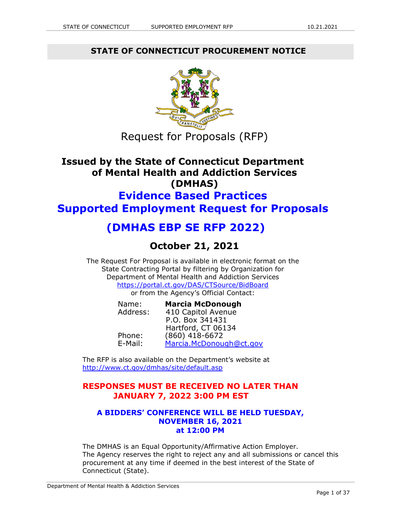**STATE OF CONNECTICUT PROCUREMENT NOTICE**



Request for Proposals (RFP)

# **Issued by the State of Connecticut Department of Mental Health and Addiction Services (DMHAS) Evidence Based Practices Supported Employment Request for Proposals**

# **(DMHAS EBP SE RFP 2022)**

# **October 21, 2021**

The Request For Proposal is available in electronic format on the State Contracting Portal by filtering by Organization for Department of Mental Health and Addiction Services <https://portal.ct.gov/DAS/CTSource/BidBoard> or from the Agency's Official Contact:

| Name:    | <b>Marcia McDonough</b> |
|----------|-------------------------|
| Address: | 410 Capitol Avenue      |
|          | P.O. Box 341431         |
|          | Hartford, CT 06134      |
| Phone:   | $(860)$ 418-6672        |
| E-Mail:  | Marcia.McDonough@ct.gov |

The RFP is also available on the Department's website at <http://www.ct.gov/dmhas/site/default.asp>

# **RESPONSES MUST BE RECEIVED NO LATER THAN JANUARY 7, 2022 3:00 PM EST**

## **A BIDDERS' CONFERENCE WILL BE HELD TUESDAY, NOVEMBER 16, 2021 at 12:00 PM**

The DMHAS is an Equal Opportunity/Affirmative Action Employer. The Agency reserves the right to reject any and all submissions or cancel this procurement at any time if deemed in the best interest of the State of Connecticut (State).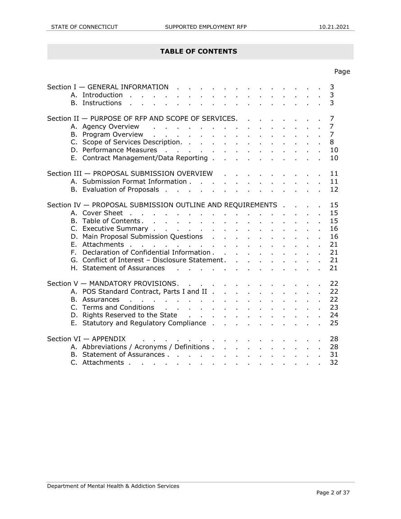## **TABLE OF CONTENTS**

|             |                                                                                                                                                                                                                                |  |  |  |  |  | Page           |
|-------------|--------------------------------------------------------------------------------------------------------------------------------------------------------------------------------------------------------------------------------|--|--|--|--|--|----------------|
|             | Section I - GENERAL INFORMATION<br>$\mathcal{L} = \mathcal{L} \times \mathcal{L}$<br>A. Introduction<br>and a strategic and<br>B. Instructions                                                                                 |  |  |  |  |  | 3<br>3<br>3    |
|             | Section II - PURPOSE OF RFP AND SCOPE OF SERVICES.                                                                                                                                                                             |  |  |  |  |  | 7              |
|             | A. Agency Overview                                                                                                                                                                                                             |  |  |  |  |  | $\overline{7}$ |
|             | B. Program Overview                                                                                                                                                                                                            |  |  |  |  |  | $\overline{7}$ |
|             | C. Scope of Services Description.                                                                                                                                                                                              |  |  |  |  |  | 8              |
|             |                                                                                                                                                                                                                                |  |  |  |  |  | 10             |
|             | E. Contract Management/Data Reporting                                                                                                                                                                                          |  |  |  |  |  | 10             |
|             | Section III - PROPOSAL SUBMISSION OVERVIEW                                                                                                                                                                                     |  |  |  |  |  | 11             |
|             | A. Submission Format Information                                                                                                                                                                                               |  |  |  |  |  | 11             |
|             | B. Evaluation of Proposals                                                                                                                                                                                                     |  |  |  |  |  | 12             |
|             |                                                                                                                                                                                                                                |  |  |  |  |  |                |
|             | Section IV - PROPOSAL SUBMISSION OUTLINE AND REQUIREMENTS                                                                                                                                                                      |  |  |  |  |  | 15             |
|             |                                                                                                                                                                                                                                |  |  |  |  |  | 15             |
|             |                                                                                                                                                                                                                                |  |  |  |  |  | 15             |
|             | C. Executive Summary                                                                                                                                                                                                           |  |  |  |  |  | 16             |
|             |                                                                                                                                                                                                                                |  |  |  |  |  | 16             |
| $F_{\perp}$ | Attachments                                                                                                                                                                                                                    |  |  |  |  |  | 21             |
| F.          | Declaration of Confidential Information                                                                                                                                                                                        |  |  |  |  |  | 21             |
|             | G. Conflict of Interest - Disclosure Statement.                                                                                                                                                                                |  |  |  |  |  | 21             |
|             | H. Statement of Assurances                                                                                                                                                                                                     |  |  |  |  |  | 21             |
|             | Section V - MANDATORY PROVISIONS.                                                                                                                                                                                              |  |  |  |  |  | 22             |
|             | A. POS Standard Contract, Parts I and II                                                                                                                                                                                       |  |  |  |  |  | 22             |
|             | B. Assurances and a contract of the contract of the state of the state of the state of the state of the state of the state of the state of the state of the state of the state of the state of the state of the state of the s |  |  |  |  |  | 22             |
|             | C. Terms and Conditions                                                                                                                                                                                                        |  |  |  |  |  | 23             |
|             | D. Rights Reserved to the State                                                                                                                                                                                                |  |  |  |  |  | 24             |
|             | E. Statutory and Regulatory Compliance                                                                                                                                                                                         |  |  |  |  |  | 25             |
|             | Section VI - APPENDIX<br>and a series of the contract of the contract of the                                                                                                                                                   |  |  |  |  |  | 28             |
|             | A. Abbreviations / Acronyms / Definitions                                                                                                                                                                                      |  |  |  |  |  | 28             |
|             | B. Statement of Assurances                                                                                                                                                                                                     |  |  |  |  |  | 31             |
|             | C. Attachments                                                                                                                                                                                                                 |  |  |  |  |  | 32             |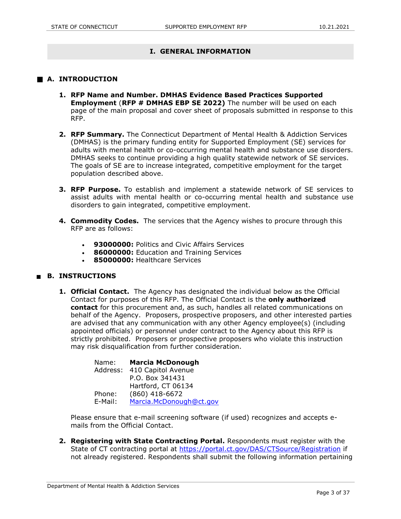## **I. GENERAL INFORMATION**

### **A. INTRODUCTION**

- **1. RFP Name and Number. DMHAS Evidence Based Practices Supported Employment** (**RFP # DMHAS EBP SE 2022)** The number will be used on each page of the main proposal and cover sheet of proposals submitted in response to this RFP.
- **2. RFP Summary.** The Connecticut Department of Mental Health & Addiction Services (DMHAS) is the primary funding entity for Supported Employment (SE) services for adults with mental health or co-occurring mental health and substance use disorders. DMHAS seeks to continue providing a high quality statewide network of SE services. The goals of SE are to increase integrated, competitive employment for the target population described above.
- **3. RFP Purpose.** To establish and implement a statewide network of SE services to assist adults with mental health or co-occurring mental health and substance use disorders to gain integrated, competitive employment.
- **4. Commodity Codes.** The services that the Agency wishes to procure through this RFP are as follows:
	- **93000000:** Politics and Civic Affairs Services
	- **86000000:** Education and Training Services
	- **85000000:** Healthcare Services

#### **B. INSTRUCTIONS**

**1. Official Contact.** The Agency has designated the individual below as the Official Contact for purposes of this RFP. The Official Contact is the **only authorized contact** for this procurement and, as such, handles all related communications on behalf of the Agency. Proposers, prospective proposers, and other interested parties are advised that any communication with any other Agency employee(s) (including appointed officials) or personnel under contract to the Agency about this RFP is strictly prohibited. Proposers or prospective proposers who violate this instruction may risk disqualification from further consideration.

> Name: **Marcia McDonough** Address: 410 Capitol Avenue P.O. Box 341431 Hartford, CT 06134 Phone: (860) 418-6672 E-Mail: [Marcia.McDonough@ct.gov](file:///C:/Users/giardj/AppData/Local/Microsoft/Windows/INetCache/Content.Outlook/P5AGM8B0/Marcia.McDonough@ct.gov)

Please ensure that e-mail screening software (if used) recognizes and accepts emails from the Official Contact.

**2. Registering with State Contracting Portal.** Respondents must register with the State of CT contracting portal at<https://portal.ct.gov/DAS/CTSource/Registration> if not already registered. Respondents shall submit the following information pertaining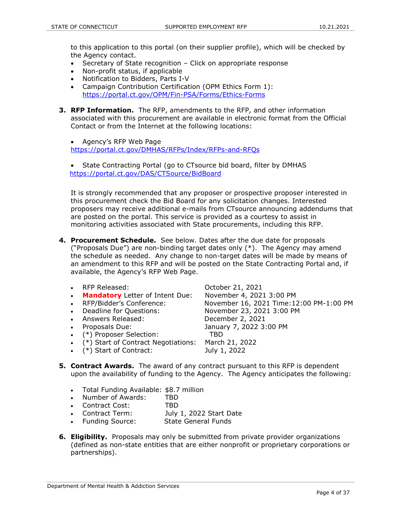to this application to this portal (on their supplier profile), which will be checked by the Agency contact.

- Secretary of State recognition Click on appropriate response
- Non-profit status, if applicable
- Notification to Bidders, Parts I-V
- Campaign Contribution Certification (OPM Ethics Form 1): <https://portal.ct.gov/OPM/Fin-PSA/Forms/Ethics-Forms>
- **3. RFP Information.** The RFP, amendments to the RFP, and other information associated with this procurement are available in electronic format from the Official Contact or from the Internet at the following locations:
	- Agency's RFP Web Page <https://portal.ct.gov/DMHAS/RFPs/Index/RFPs-and-RFQs>

• State Contracting Portal (go to CTsource bid board, filter by DMHAS <https://portal.ct.gov/DAS/CTSource/BidBoard>

It is strongly recommended that any proposer or prospective proposer interested in this procurement check the Bid Board for any solicitation changes. Interested proposers may receive additional e-mails from CTsource announcing addendums that are posted on the portal. This service is provided as a courtesy to assist in monitoring activities associated with State procurements, including this RFP.

- **4. Procurement Schedule.** See below. Dates after the due date for proposals ("Proposals Due") are non-binding target dates only (\*). The Agency may amend the schedule as needed. Any change to non-target dates will be made by means of an amendment to this RFP and will be posted on the State Contracting Portal and, if available, the Agency's RFP Web Page.
	- RFP Released: October 21, 2021
	- **Mandatory** Letter of Intent Due: November 4, 2021 3:00 PM
	-
	-
	- Answers Released: December 2, 2021
	-
	- (\*) Proposer Selection: TBD
	- (\*) Start of Contract Negotiations: March 21, 2022
	- (\*) Start of Contract: July 1, 2022

 RFP/Bidder's Conference: November 16, 2021 Time:12:00 PM-1:00 PM Deadline for Questions: November 23, 2021 3:00 PM Proposals Due: January 7, 2022 3:00 PM

- **5. Contract Awards.** The award of any contract pursuant to this RFP is dependent upon the availability of funding to the Agency. The Agency anticipates the following:
	- Total Funding Available: \$8.7 million
	- Number of Awards: TBD
	- Contract Cost: TBD
	- Contract Term: July 1, 2022 Start Date
	- Funding Source: State General Funds
- **6. Eligibility.** Proposals may only be submitted from private provider organizations (defined as non-state entities that are either nonprofit or proprietary corporations or partnerships).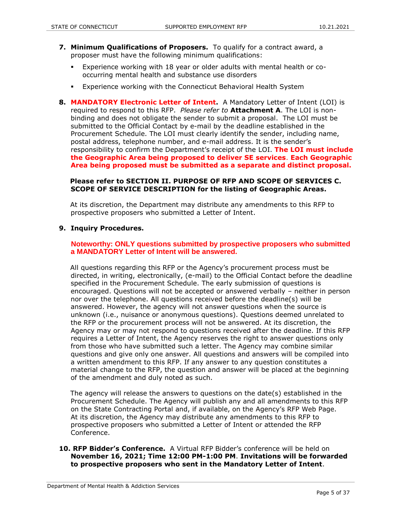- **7. Minimum Qualifications of Proposers.** To qualify for a contract award, a proposer must have the following minimum qualifications:
	- Experience working with 18 year or older adults with mental health or cooccurring mental health and substance use disorders
	- Experience working with the Connecticut Behavioral Health System
- **8. MANDATORY Electronic Letter of Intent.** A Mandatory Letter of Intent (LOI) is required to respond to this RFP. *Please refer to* **Attachment A**. The LOI is nonbinding and does not obligate the sender to submit a proposal. The LOI must be submitted to the Official Contact by e-mail by the deadline established in the Procurement Schedule. The LOI must clearly identify the sender, including name, postal address, telephone number, and e-mail address. It is the sender's responsibility to confirm the Department's receipt of the LOI. **The LOI must include the Geographic Area being proposed to deliver SE services**. **Each Geographic Area being proposed must be submitted as a separate and distinct proposal.**

#### **Please refer to SECTION II. PURPOSE OF RFP AND SCOPE OF SERVICES C. SCOPE OF SERVICE DESCRIPTION for the listing of Geographic Areas.**

 At its discretion, the Department may distribute any amendments to this RFP to prospective proposers who submitted a Letter of Intent.

#### **9. Inquiry Procedures.**

#### **Noteworthy: ONLY questions submitted by prospective proposers who submitted a MANDATORY Letter of Intent will be answered.**

 All questions regarding this RFP or the Agency's procurement process must be directed, in writing, electronically, (e-mail) to the Official Contact before the deadline specified in the Procurement Schedule. The early submission of questions is encouraged. Questions will not be accepted or answered verbally – neither in person nor over the telephone. All questions received before the deadline(s) will be answered. However, the agency will not answer questions when the source is unknown (i.e., nuisance or anonymous questions). Questions deemed unrelated to the RFP or the procurement process will not be answered. At its discretion, the Agency may or may not respond to questions received after the deadline. If this RFP requires a Letter of Intent, the Agency reserves the right to answer questions only from those who have submitted such a letter. The Agency may combine similar questions and give only one answer. All questions and answers will be compiled into a written amendment to this RFP. If any answer to any question constitutes a material change to the RFP, the question and answer will be placed at the beginning of the amendment and duly noted as such.

 The agency will release the answers to questions on the date(s) established in the Procurement Schedule. The Agency will publish any and all amendments to this RFP on the State Contracting Portal and, if available, on the Agency's RFP Web Page. At its discretion, the Agency may distribute any amendments to this RFP to prospective proposers who submitted a Letter of Intent or attended the RFP Conference.

#### **10. RFP Bidder's Conference.** A Virtual RFP Bidder's conference will be held on **November 16, 2021; Time 12:00 PM-1:00 PM**. **Invitations will be forwarded to prospective proposers who sent in the Mandatory Letter of Intent**.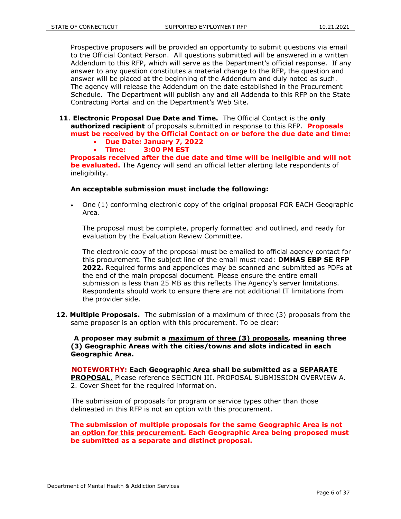Prospective proposers will be provided an opportunity to submit questions via email to the Official Contact Person. All questions submitted will be answered in a written Addendum to this RFP, which will serve as the Department's official response. If any answer to any question constitutes a material change to the RFP, the question and answer will be placed at the beginning of the Addendum and duly noted as such. The agency will release the Addendum on the date established in the Procurement Schedule. The Department will publish any and all Addenda to this RFP on the State Contracting Portal and on the Department's Web Site.

- **11**. **Electronic Proposal Due Date and Time.** The Official Contact is the **only authorized recipient** of proposals submitted in response to this RFP. **Proposals must be received by the Official Contact on or before the due date and time:**
	- **Due Date: January 7, 2022**
	- **Time: 3:00 PM EST**

 **Proposals received after the due date and time will be ineligible and will not be evaluated.** The Agency will send an official letter alerting late respondents of ineligibility.

#### **An acceptable submission must include the following:**

 One (1) conforming electronic copy of the original proposal FOR EACH Geographic Area.

The proposal must be complete, properly formatted and outlined, and ready for evaluation by the Evaluation Review Committee.

The electronic copy of the proposal must be emailed to official agency contact for this procurement. The subject line of the email must read: **DMHAS EBP SE RFP 2022.** Required forms and appendices may be scanned and submitted as PDFs at the end of the main proposal document. Please ensure the entire email submission is less than 25 MB as this reflects The Agency's server limitations. Respondents should work to ensure there are not additional IT limitations from the provider side.

**12. Multiple Proposals.** The submission of a maximum of three (3) proposals from the same proposer is an option with this procurement. To be clear:

 **A proposer may submit a maximum of three (3) proposals, meaning three (3) Geographic Areas with the cities/towns and slots indicated in each Geographic Area.** 

 **NOTEWORTHY: Each Geographic Area shall be submitted as a SEPARATE PROPOSAL**. Please reference SECTION III. PROPOSAL SUBMISSION OVERVIEW A. 2. Cover Sheet for the required information.

The submission of proposals for program or service types other than those delineated in this RFP is not an option with this procurement.

 **The submission of multiple proposals for the same Geographic Area is not an option for this procurement. Each Geographic Area being proposed must be submitted as a separate and distinct proposal.**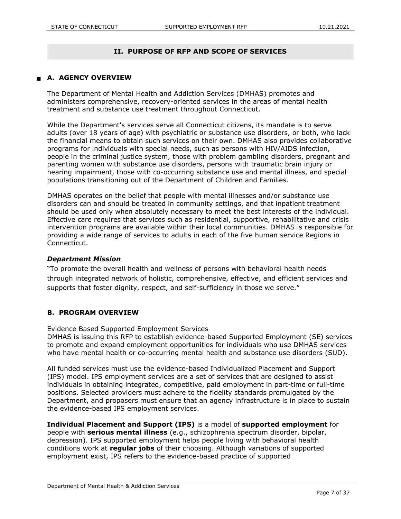#### **II. PURPOSE OF RFP AND SCOPE OF SERVICES**

## **A. AGENCY OVERVIEW**

The Department of Mental Health and Addiction Services (DMHAS) promotes and administers comprehensive, recovery-oriented services in the areas of mental health treatment and substance use treatment throughout Connecticut.

While the Department's services serve all Connecticut citizens, its mandate is to serve adults (over 18 years of age) with psychiatric or substance use disorders, or both, who lack the financial means to obtain such services on their own. DMHAS also provides collaborative programs for individuals with special needs, such as persons with HIV/AIDS infection, people in the criminal justice system, those with problem gambling disorders, pregnant and parenting women with substance use disorders, persons with traumatic brain injury or hearing impairment, those with co-occurring substance use and mental illness, and special populations transitioning out of the Department of Children and Families.

DMHAS operates on the belief that people with mental illnesses and/or substance use disorders can and should be treated in community settings, and that inpatient treatment should be used only when absolutely necessary to meet the best interests of the individual. Effective care requires that services such as residential, supportive, rehabilitative and crisis intervention programs are available within their local communities. DMHAS is responsible for providing a wide range of services to adults in each of the five human service Regions in Connecticut.

#### *Department Mission*

"To promote the overall health and wellness of persons with behavioral health needs through integrated network of holistic, comprehensive, effective, and efficient services and supports that foster dignity, respect, and self-sufficiency in those we serve."

#### **B. PROGRAM OVERVIEW**

Evidence Based Supported Employment Services

DMHAS is issuing this RFP to establish evidence-based Supported Employment (SE) services to promote and expand employment opportunities for individuals who use DMHAS services who have mental health or co-occurring mental health and substance use disorders (SUD).

All funded services must use the evidence-based Individualized Placement and Support (IPS) model. IPS employment services are a set of services that are designed to assist individuals in obtaining integrated, competitive, paid employment in part-time or full-time positions. Selected providers must adhere to the fidelity standards promulgated by the Department, and proposers must ensure that an agency infrastructure is in place to sustain the evidence-based IPS employment services.

#### **Individual Placement and Support (IPS)** is a model of **supported employment** for

people with **serious mental illness** (e.g., schizophrenia spectrum disorder, bipolar, depression). IPS supported employment helps people living with behavioral health conditions work at **regular jobs** of their choosing. Although variations of supported employment exist, IPS refers to the evidence-based practice of supported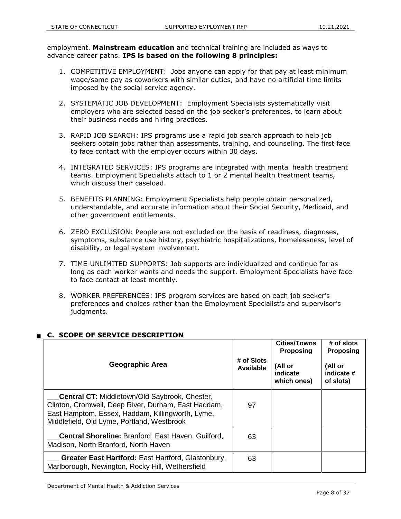employment. **Mainstream education** and technical training are included as ways to advance career paths. **IPS is based on the following 8 principles:**

- 1. COMPETITIVE EMPLOYMENT: Jobs anyone can apply for that pay at least minimum wage/same pay as coworkers with similar duties, and have no artificial time limits imposed by the social service agency.
- 2. SYSTEMATIC JOB DEVELOPMENT: Employment Specialists systematically visit employers who are selected based on the job seeker's preferences, to learn about their business needs and hiring practices.
- 3. RAPID JOB SEARCH: IPS programs use a rapid job search approach to help job seekers obtain jobs rather than assessments, training, and counseling. The first face to face contact with the employer occurs within 30 days.
- 4. INTEGRATED SERVICES: IPS programs are integrated with mental health treatment teams. Employment Specialists attach to 1 or 2 mental health treatment teams, which discuss their caseload.
- 5. BENEFITS PLANNING: Employment Specialists help people obtain personalized, understandable, and accurate information about their Social Security, Medicaid, and other government entitlements.
- 6. ZERO EXCLUSION: People are not excluded on the basis of readiness, diagnoses, symptoms, substance use history, psychiatric hospitalizations, homelessness, level of disability, or legal system involvement.
- 7. TIME-UNLIMITED SUPPORTS: Job supports are individualized and continue for as long as each worker wants and needs the support. Employment Specialists have face to face contact at least monthly.
- 8. WORKER PREFERENCES: IPS program services are based on each job seeker's preferences and choices rather than the Employment Specialist's and supervisor's judgments.

| <b>Geographic Area</b>                                                                                                                                                                                        | # of Slots<br>Available | <b>Cities/Towns</b><br>Proposing<br>(All or<br>indicate<br>which ones) | # of slots<br><b>Proposing</b><br>(All or<br>indicate #<br>of slots) |
|---------------------------------------------------------------------------------------------------------------------------------------------------------------------------------------------------------------|-------------------------|------------------------------------------------------------------------|----------------------------------------------------------------------|
| <b>Central CT:</b> Middletown/Old Saybrook, Chester,<br>Clinton, Cromwell, Deep River, Durham, East Haddam,<br>East Hamptom, Essex, Haddam, Killingworth, Lyme,<br>Middlefield, Old Lyme, Portland, Westbrook | 97                      |                                                                        |                                                                      |
| <b>Central Shoreline: Branford, East Haven, Guilford,</b><br>Madison, North Branford, North Haven                                                                                                             | 63                      |                                                                        |                                                                      |
| Greater East Hartford: East Hartford, Glastonbury,<br>Marlborough, Newington, Rocky Hill, Wethersfield                                                                                                        | 63                      |                                                                        |                                                                      |

## **C. SCOPE OF SERVICE DESCRIPTION**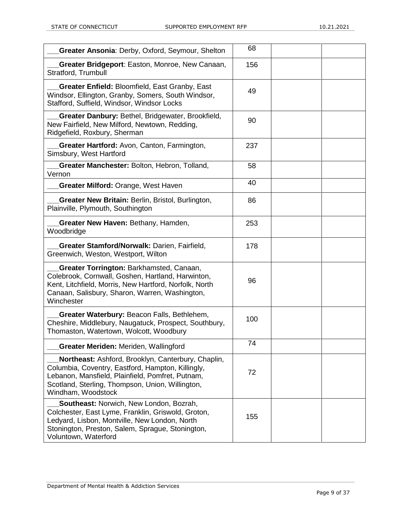| Greater Ansonia: Derby, Oxford, Seymour, Shelton                                                                                                                                                                                      | 68  |  |
|---------------------------------------------------------------------------------------------------------------------------------------------------------------------------------------------------------------------------------------|-----|--|
| Greater Bridgeport: Easton, Monroe, New Canaan,<br>Stratford, Trumbull                                                                                                                                                                | 156 |  |
| Greater Enfield: Bloomfield, East Granby, East<br>Windsor, Ellington, Granby, Somers, South Windsor,<br>Stafford, Suffield, Windsor, Windsor Locks                                                                                    | 49  |  |
| Greater Danbury: Bethel, Bridgewater, Brookfield,<br>New Fairfield, New Milford, Newtown, Redding,<br>Ridgefield, Roxbury, Sherman                                                                                                    | 90  |  |
| Greater Hartford: Avon, Canton, Farmington,<br>Simsbury, West Hartford                                                                                                                                                                | 237 |  |
| Greater Manchester: Bolton, Hebron, Tolland,<br>Vernon                                                                                                                                                                                | 58  |  |
| Greater Milford: Orange, West Haven                                                                                                                                                                                                   | 40  |  |
| Greater New Britain: Berlin, Bristol, Burlington,<br>Plainville, Plymouth, Southington                                                                                                                                                | 86  |  |
| Greater New Haven: Bethany, Hamden,<br>Woodbridge                                                                                                                                                                                     | 253 |  |
| Greater Stamford/Norwalk: Darien, Fairfield,<br>Greenwich, Weston, Westport, Wilton                                                                                                                                                   | 178 |  |
| Greater Torrington: Barkhamsted, Canaan,<br>Colebrook, Cornwall, Goshen, Hartland, Harwinton,<br>Kent, Litchfield, Morris, New Hartford, Norfolk, North<br>Canaan, Salisbury, Sharon, Warren, Washington,<br>Winchester               | 96  |  |
| Greater Waterbury: Beacon Falls, Bethlehem,<br>Cheshire, Middlebury, Naugatuck, Prospect, Southbury,<br>Thomaston, Watertown, Wolcott, Woodbury                                                                                       | 100 |  |
| <b>Greater Meriden: Meriden, Wallingford</b>                                                                                                                                                                                          | 74  |  |
| Northeast: Ashford, Brooklyn, Canterbury, Chaplin,<br>Columbia, Coventry, Eastford, Hampton, Killingly,<br>Lebanon, Mansfield, Plainfield, Pomfret, Putnam,<br>Scotland, Sterling, Thompson, Union, Willington,<br>Windham, Woodstock | 72  |  |
| Southeast: Norwich, New London, Bozrah,<br>Colchester, East Lyme, Franklin, Griswold, Groton,<br>Ledyard, Lisbon, Montville, New London, North<br>Stonington, Preston, Salem, Sprague, Stonington,<br>Voluntown, Waterford            | 155 |  |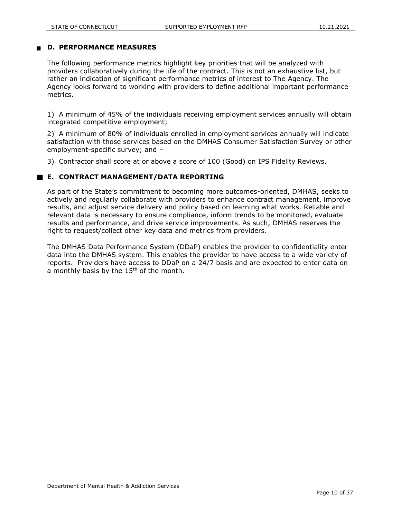#### **D. PERFORMANCE MEASURES**

The following performance metrics highlight key priorities that will be analyzed with providers collaboratively during the life of the contract. This is not an exhaustive list, but rather an indication of significant performance metrics of interest to The Agency. The Agency looks forward to working with providers to define additional important performance metrics.

1) A minimum of 45% of the individuals receiving employment services annually will obtain integrated competitive employment;

2) A minimum of 80% of individuals enrolled in employment services annually will indicate satisfaction with those services based on the DMHAS Consumer Satisfaction Survey or other employment-specific survey; and –

3) Contractor shall score at or above a score of 100 (Good) on IPS Fidelity Reviews.

#### **E. CONTRACT MANAGEMENT/DATA REPORTING**

As part of the State's commitment to becoming more outcomes-oriented, DMHAS, seeks to actively and regularly collaborate with providers to enhance contract management, improve results, and adjust service delivery and policy based on learning what works. Reliable and relevant data is necessary to ensure compliance, inform trends to be monitored, evaluate results and performance, and drive service improvements. As such, DMHAS reserves the right to request/collect other key data and metrics from providers.

The DMHAS Data Performance System (DDaP) enables the provider to confidentiality enter data into the DMHAS system. This enables the provider to have access to a wide variety of reports. Providers have access to DDaP on a 24/7 basis and are expected to enter data on a monthly basis by the  $15<sup>th</sup>$  of the month.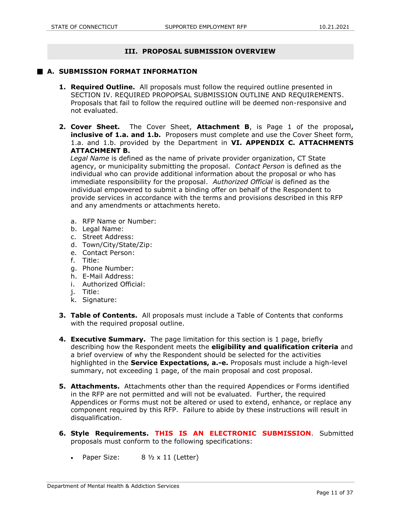### **III. PROPOSAL SUBMISSION OVERVIEW**

#### **A. SUBMISSION FORMAT INFORMATION**

- **1. Required Outline.** All proposals must follow the required outline presented in SECTION IV. REQUIRED PROPOPSAL SUBMISSION OUTLINE AND REQUIREMENTS. Proposals that fail to follow the required outline will be deemed non-responsive and not evaluated.
- **2. Cover Sheet.** The Cover Sheet, **Attachment B**, is Page 1 of the proposal**, inclusive of 1.a. and 1.b.** Proposers must complete and use the Cover Sheet form, 1.a. and 1.b. provided by the Department in **VI. APPENDIX C. ATTACHMENTS ATTACHMENT B.**

 *Legal Name* is defined as the name of private provider organization, CT State agency, or municipality submitting the proposal. *Contact Person* is defined as the individual who can provide additional information about the proposal or who has immediate responsibility for the proposal. *Authorized Official* is defined as the individual empowered to submit a binding offer on behalf of the Respondent to provide services in accordance with the terms and provisions described in this RFP and any amendments or attachments hereto.

- a. RFP Name or Number:
- b. Legal Name:
- c. Street Address:
- d. Town/City/State/Zip:
- e. Contact Person:
- f. Title:
- g. Phone Number:
- h. E-Mail Address:
- i. Authorized Official:
- j. Title:
- k. Signature:
- **3. Table of Contents.** All proposals must include a Table of Contents that conforms with the required proposal outline.
- **4. Executive Summary.** The page limitation for this section is 1 page, briefly describing how the Respondent meets the **eligibility and qualification criteria** and a brief overview of why the Respondent should be selected for the activities highlighted in the **Service Expectations, a.-e.** Proposals must include a high-level summary, not exceeding 1 page, of the main proposal and cost proposal.
- **5. Attachments.** Attachments other than the required Appendices or Forms identified in the RFP are not permitted and will not be evaluated. Further, the required Appendices or Forms must not be altered or used to extend, enhance, or replace any component required by this RFP. Failure to abide by these instructions will result in disqualification.
- **6. Style Requirements. THIS IS AN ELECTRONIC SUBMISSION**. Submitted proposals must conform to the following specifications:
	- Paper Size: 8 1/2 x 11 (Letter)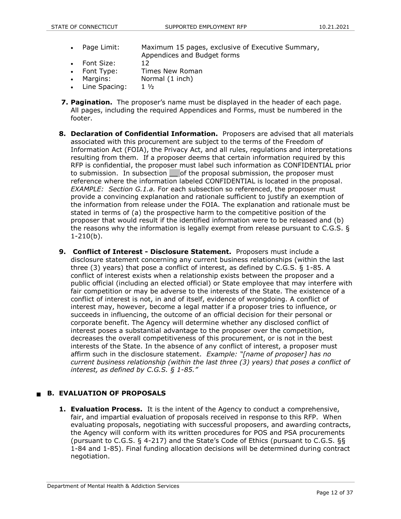- Page Limit: Maximum 15 pages, exclusive of Executive Summary, Appendices and Budget forms
- Font Size: 12
- Font Type: Times New Roman
- Margins: Normal (1 inch)
- $\bullet$  Line Spacing: 1  $1/2$
- **7. Pagination.** The proposer's name must be displayed in the header of each page. All pages, including the required Appendices and Forms, must be numbered in the footer.
- **8. Declaration of Confidential Information.** Proposers are advised that all materials associated with this procurement are subject to the terms of the Freedom of Information Act (FOIA), the Privacy Act, and all rules, regulations and interpretations resulting from them. If a proposer deems that certain information required by this RFP is confidential, the proposer must label such information as CONFIDENTIAL prior to submission. In subsection of the proposal submission, the proposer must reference where the information labeled CONFIDENTIAL is located in the proposal. *EXAMPLE: Section G.1.a.* For each subsection so referenced, the proposer must provide a convincing explanation and rationale sufficient to justify an exemption of the information from release under the FOIA. The explanation and rationale must be stated in terms of (a) the prospective harm to the competitive position of the proposer that would result if the identified information were to be released and (b) the reasons why the information is legally exempt from release pursuant to C.G.S. § 1-210(b).
- **9. Conflict of Interest - Disclosure Statement.** Proposers must include a disclosure statement concerning any current business relationships (within the last three (3) years) that pose a conflict of interest, as defined by C.G.S. § 1-85. A conflict of interest exists when a relationship exists between the proposer and a public official (including an elected official) or State employee that may interfere with fair competition or may be adverse to the interests of the State. The existence of a conflict of interest is not, in and of itself, evidence of wrongdoing. A conflict of interest may, however, become a legal matter if a proposer tries to influence, or succeeds in influencing, the outcome of an official decision for their personal or corporate benefit. The Agency will determine whether any disclosed conflict of interest poses a substantial advantage to the proposer over the competition, decreases the overall competitiveness of this procurement, or is not in the best interests of the State. In the absence of any conflict of interest, a proposer must affirm such in the disclosure statement. *Example: "[name of proposer] has no current business relationship (within the last three (3) years) that poses a conflict of interest, as defined by C.G.S. § 1-85."*

## **B. EVALUATION OF PROPOSALS**

**1. Evaluation Process.** It is the intent of the Agency to conduct a comprehensive, fair, and impartial evaluation of proposals received in response to this RFP. When evaluating proposals, negotiating with successful proposers, and awarding contracts, the Agency will conform with its written procedures for POS and PSA procurements (pursuant to C.G.S. § 4-217) and the State's Code of Ethics (pursuant to C.G.S. §§ 1-84 and 1-85). Final funding allocation decisions will be determined during contract negotiation.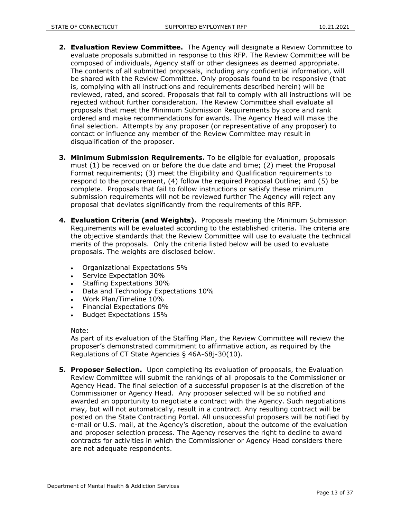- **2. Evaluation Review Committee.** The Agency will designate a Review Committee to evaluate proposals submitted in response to this RFP. The Review Committee will be composed of individuals, Agency staff or other designees as deemed appropriate. The contents of all submitted proposals, including any confidential information, will be shared with the Review Committee. Only proposals found to be responsive (that is, complying with all instructions and requirements described herein) will be reviewed, rated, and scored. Proposals that fail to comply with all instructions will be rejected without further consideration. The Review Committee shall evaluate all proposals that meet the Minimum Submission Requirements by score and rank ordered and make recommendations for awards. The Agency Head will make the final selection. Attempts by any proposer (or representative of any proposer) to contact or influence any member of the Review Committee may result in disqualification of the proposer.
- **3. Minimum Submission Requirements.** To be eligible for evaluation, proposals must (1) be received on or before the due date and time; (2) meet the Proposal Format requirements; (3) meet the Eligibility and Qualification requirements to respond to the procurement, (4) follow the required Proposal Outline; and (5) be complete. Proposals that fail to follow instructions or satisfy these minimum submission requirements will not be reviewed further The Agency will reject any proposal that deviates significantly from the requirements of this RFP.
- **4. Evaluation Criteria (and Weights).** Proposals meeting the Minimum Submission Requirements will be evaluated according to the established criteria. The criteria are the objective standards that the Review Committee will use to evaluate the technical merits of the proposals. Only the criteria listed below will be used to evaluate proposals. The weights are disclosed below.
	- Organizational Expectations 5%
	- Service Expectation 30%
	- Staffing Expectations 30%
	- Data and Technology Expectations 10%
	- Work Plan/Timeline 10%
	- Financial Expectations 0%
	- **Budget Expectations 15%**

#### Note:

As part of its evaluation of the Staffing Plan, the Review Committee will review the proposer's demonstrated commitment to affirmative action, as required by the Regulations of CT State Agencies § 46A-68j-30(10).

**5. Proposer Selection.** Upon completing its evaluation of proposals, the Evaluation Review Committee will submit the rankings of all proposals to the Commissioner or Agency Head. The final selection of a successful proposer is at the discretion of the Commissioner or Agency Head. Any proposer selected will be so notified and awarded an opportunity to negotiate a contract with the Agency. Such negotiations may, but will not automatically, result in a contract. Any resulting contract will be posted on the State Contracting Portal. All unsuccessful proposers will be notified by e-mail or U.S. mail, at the Agency's discretion, about the outcome of the evaluation and proposer selection process. The Agency reserves the right to decline to award contracts for activities in which the Commissioner or Agency Head considers there are not adequate respondents.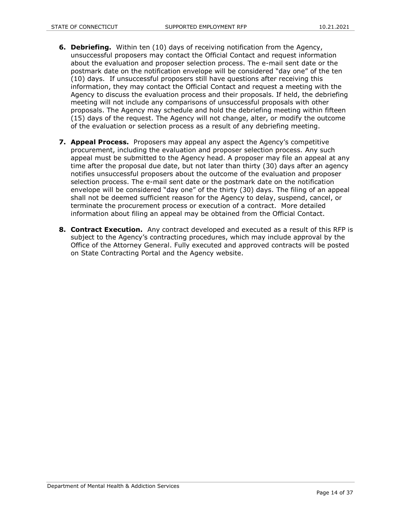- **6. Debriefing.** Within ten (10) days of receiving notification from the Agency, unsuccessful proposers may contact the Official Contact and request information about the evaluation and proposer selection process. The e-mail sent date or the postmark date on the notification envelope will be considered "day one" of the ten (10) days. If unsuccessful proposers still have questions after receiving this information, they may contact the Official Contact and request a meeting with the Agency to discuss the evaluation process and their proposals. If held, the debriefing meeting will not include any comparisons of unsuccessful proposals with other proposals. The Agency may schedule and hold the debriefing meeting within fifteen (15) days of the request. The Agency will not change, alter, or modify the outcome of the evaluation or selection process as a result of any debriefing meeting.
- **7. Appeal Process.** Proposers may appeal any aspect the Agency's competitive procurement, including the evaluation and proposer selection process. Any such appeal must be submitted to the Agency head. A proposer may file an appeal at any time after the proposal due date, but not later than thirty (30) days after an agency notifies unsuccessful proposers about the outcome of the evaluation and proposer selection process. The e-mail sent date or the postmark date on the notification envelope will be considered "day one" of the thirty (30) days. The filing of an appeal shall not be deemed sufficient reason for the Agency to delay, suspend, cancel, or terminate the procurement process or execution of a contract. More detailed information about filing an appeal may be obtained from the Official Contact.
- **8. Contract Execution.** Any contract developed and executed as a result of this RFP is subject to the Agency's contracting procedures, which may include approval by the Office of the Attorney General. Fully executed and approved contracts will be posted on State Contracting Portal and the Agency website.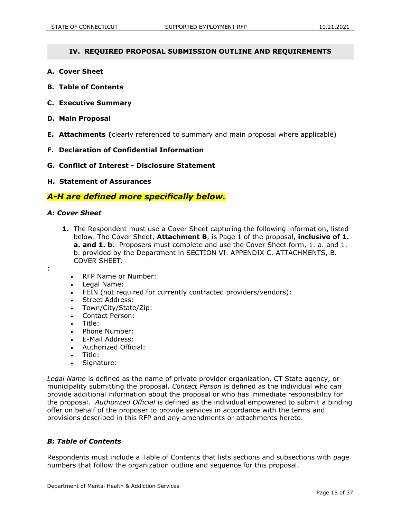#### **IV. REQUIRED PROPOSAL SUBMISSION OUTLINE AND REQUIREMENTS**

- **A. Cover Sheet**
- **B. Table of Contents**
- **C. Executive Summary**
- **D. Main Proposal**
- **E. Attachments (**clearly referenced to summary and main proposal where applicable)
- **F. Declaration of Confidential Information**
- **G. Conflict of Interest - Disclosure Statement**
- **H. Statement of Assurances**

## *A-H are defined more specifically below.*

#### *A: Cover Sheet*

:

- **1.** The Respondent must use a Cover Sheet capturing the following information, listed below. The Cover Sheet, **Attachment B**, is Page 1 of the proposal**, inclusive of 1. a. and 1. b.** Proposers must complete and use the Cover Sheet form, 1. a. and 1. b. provided by the Department in SECTION VI. APPENDIX C. ATTACHMENTS, B. COVER SHEET.
	- RFP Name or Number:
	- Legal Name:
	- FEIN (not required for currently contracted providers/vendors):
	- Street Address:
	- Town/City/State/Zip:
	- Contact Person:
	- Title:
	- Phone Number:
	- E-Mail Address:
	- Authorized Official:
	- Title:
	- Signature:

*Legal Name* is defined as the name of private provider organization, CT State agency, or municipality submitting the proposal. *Contact Person* is defined as the individual who can provide additional information about the proposal or who has immediate responsibility for the proposal. *Authorized Official* is defined as the individual empowered to submit a binding offer on behalf of the proposer to provide services in accordance with the terms and provisions described in this RFP and any amendments or attachments hereto.

#### *B: Table of Contents*

Respondents must include a Table of Contents that lists sections and subsections with page numbers that follow the organization outline and sequence for this proposal.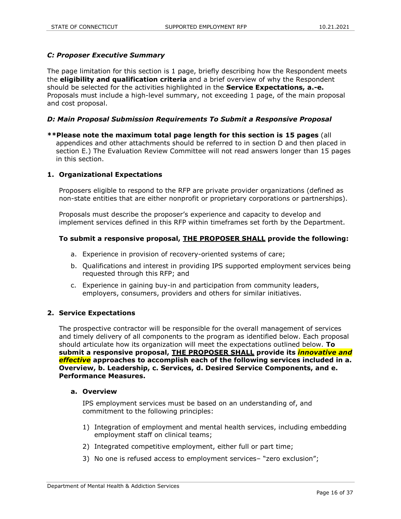#### *C: Proposer Executive Summary*

The page limitation for this section is 1 page, briefly describing how the Respondent meets the **eligibility and qualification criteria** and a brief overview of why the Respondent should be selected for the activities highlighted in the **Service Expectations, a.-e.** Proposals must include a high-level summary, not exceeding 1 page, of the main proposal and cost proposal.

#### *D: Main Proposal Submission Requirements To Submit a Responsive Proposal*

**\*\*Please note the maximum total page length for this section is 15 pages** (all appendices and other attachments should be referred to in section D and then placed in section E.) The Evaluation Review Committee will not read answers longer than 15 pages in this section.

#### **1. Organizational Expectations**

Proposers eligible to respond to the RFP are private provider organizations (defined as non-state entities that are either nonprofit or proprietary corporations or partnerships).

Proposals must describe the proposer's experience and capacity to develop and implement services defined in this RFP within timeframes set forth by the Department.

#### **To submit a responsive proposal, THE PROPOSER SHALL provide the following:**

- a. Experience in provision of recovery-oriented systems of care;
- b. Qualifications and interest in providing IPS supported employment services being requested through this RFP; and
- c. Experience in gaining buy-in and participation from community leaders, employers, consumers, providers and others for similar initiatives.

#### **2. Service Expectations**

The prospective contractor will be responsible for the overall management of services and timely delivery of all components to the program as identified below. Each proposal should articulate how its organization will meet the expectations outlined below. **To submit a responsive proposal, THE PROPOSER SHALL provide its** *innovative and effective* **approaches to accomplish each of the following services included in a. Overview, b. Leadership, c. Services, d. Desired Service Components, and e. Performance Measures.**

#### **a. Overview**

IPS employment services must be based on an understanding of, and commitment to the following principles:

- 1) Integration of employment and mental health services, including embedding employment staff on clinical teams;
- 2) Integrated competitive employment, either full or part time;
- 3) No one is refused access to employment services– "zero exclusion";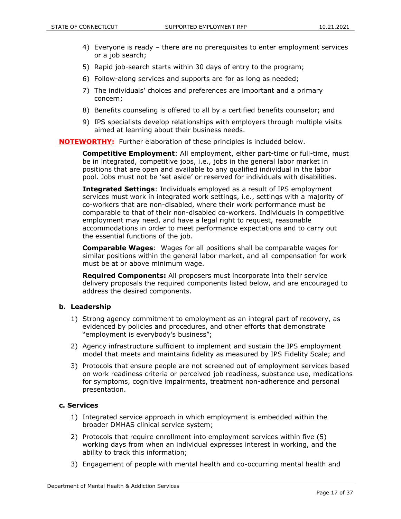- 4) Everyone is ready there are no prerequisites to enter employment services or a job search;
- 5) Rapid job-search starts within 30 days of entry to the program;
- 6) Follow-along services and supports are for as long as needed;
- 7) The individuals' choices and preferences are important and a primary concern;
- 8) Benefits counseling is offered to all by a certified benefits counselor; and
- 9) IPS specialists develop relationships with employers through multiple visits aimed at learning about their business needs.

**NOTEWORTHY:** Further elaboration of these principles is included below.

**Competitive Employment**: All employment, either part-time or full-time, must be in integrated, competitive jobs, i.e., jobs in the general labor market in positions that are open and available to any qualified individual in the labor pool. Jobs must not be 'set aside' or reserved for individuals with disabilities.

**Integrated Settings**: Individuals employed as a result of IPS employment services must work in integrated work settings, i.e., settings with a majority of co-workers that are non-disabled, where their work performance must be comparable to that of their non-disabled co-workers. Individuals in competitive employment may need, and have a legal right to request, reasonable accommodations in order to meet performance expectations and to carry out the essential functions of the job.

**Comparable Wages**: Wages for all positions shall be comparable wages for similar positions within the general labor market, and all compensation for work must be at or above minimum wage.

**Required Components:** All proposers must incorporate into their service delivery proposals the required components listed below, and are encouraged to address the desired components.

#### **b. Leadership**

- 1) Strong agency commitment to employment as an integral part of recovery, as evidenced by policies and procedures, and other efforts that demonstrate "employment is everybody's business";
- 2) Agency infrastructure sufficient to implement and sustain the IPS employment model that meets and maintains fidelity as measured by IPS Fidelity Scale; and
- 3) Protocols that ensure people are not screened out of employment services based on work readiness criteria or perceived job readiness, substance use, medications for symptoms, cognitive impairments, treatment non-adherence and personal presentation.

#### **c. Services**

- 1) Integrated service approach in which employment is embedded within the broader DMHAS clinical service system;
- 2) Protocols that require enrollment into employment services within five (5) working days from when an individual expresses interest in working, and the ability to track this information;
- 3) Engagement of people with mental health and co-occurring mental health and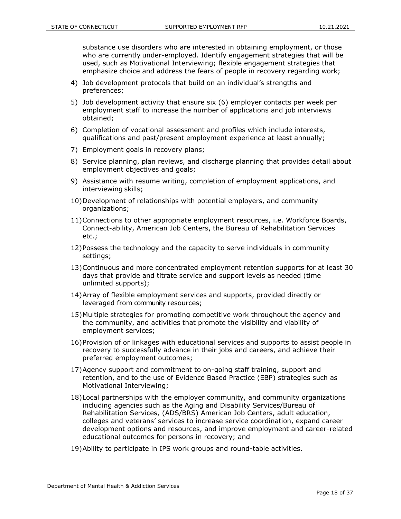substance use disorders who are interested in obtaining employment, or those who are currently under-employed. Identify engagement strategies that will be used, such as Motivational Interviewing; flexible engagement strategies that emphasize choice and address the fears of people in recovery regarding work;

- 4) Job development protocols that build on an individual's strengths and preferences;
- 5) Job development activity that ensure six (6) employer contacts per week per employment staff to increase the number of applications and job interviews obtained;
- 6) Completion of vocational assessment and profiles which include interests, qualifications and past/present employment experience at least annually;
- 7) Employment goals in recovery plans;
- 8) Service planning, plan reviews, and discharge planning that provides detail about employment objectives and goals;
- 9) Assistance with resume writing, completion of employment applications, and interviewing skills;
- 10)Development of relationships with potential employers, and community organizations;
- 11)Connections to other appropriate employment resources, i.e. Workforce Boards, Connect-ability, American Job Centers, the Bureau of Rehabilitation Services etc.;
- 12)Possess the technology and the capacity to serve individuals in community settings;
- 13)Continuous and more concentrated employment retention supports for at least 30 days that provide and titrate service and support levels as needed (time unlimited supports);
- 14)Array of flexible employment services and supports, provided directly or leveraged from community resources;
- 15)Multiple strategies for promoting competitive work throughout the agency and the community, and activities that promote the visibility and viability of employment services;
- 16)Provision of or linkages with educational services and supports to assist people in recovery to successfully advance in their jobs and careers, and achieve their preferred employment outcomes;
- 17)Agency support and commitment to on-going staff training, support and retention, and to the use of Evidence Based Practice (EBP) strategies such as Motivational Interviewing;
- 18)Local partnerships with the employer community, and community organizations including agencies such as the Aging and Disability Services/Bureau of Rehabilitation Services, (ADS/BRS) American Job Centers, adult education, colleges and veterans' services to increase service coordination, expand career development options and resources, and improve employment and career-related educational outcomes for persons in recovery; and
- 19)Ability to participate in IPS work groups and round-table activities.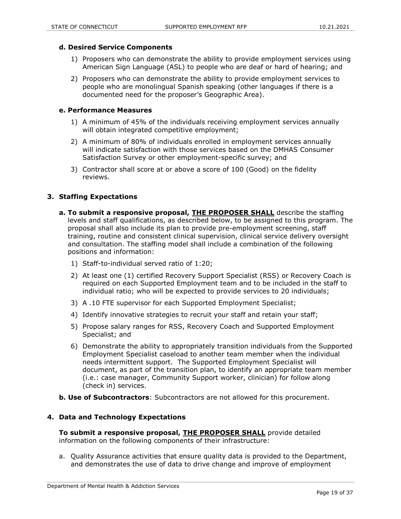#### **d. Desired Service Components**

- 1) Proposers who can demonstrate the ability to provide employment services using American Sign Language (ASL) to people who are deaf or hard of hearing; and
- 2) Proposers who can demonstrate the ability to provide employment services to people who are monolingual Spanish speaking (other languages if there is a documented need for the proposer's Geographic Area).

#### **e. Performance Measures**

- 1) A minimum of 45% of the individuals receiving employment services annually will obtain integrated competitive employment;
- 2) A minimum of 80% of individuals enrolled in employment services annually will indicate satisfaction with those services based on the DMHAS Consumer Satisfaction Survey or other employment-specific survey; and
- 3) Contractor shall score at or above a score of 100 (Good) on the fidelity reviews.

#### **3. Staffing Expectations**

- **a. To submit a responsive proposal, THE PROPOSER SHALL** describe the staffing levels and staff qualifications, as described below, to be assigned to this program. The proposal shall also include its plan to provide pre-employment screening, staff training, routine and consistent clinical supervision, clinical service delivery oversight and consultation. The staffing model shall include a combination of the following positions and information:
	- 1) Staff-to-individual served ratio of 1:20;
	- 2) At least one (1) certified Recovery Support Specialist (RSS) or Recovery Coach is required on each Supported Employment team and to be included in the staff to individual ratio; who will be expected to provide services to 20 individuals;
	- 3) A .10 FTE supervisor for each Supported Employment Specialist;
	- 4) Identify innovative strategies to recruit your staff and retain your staff;
	- 5) Propose salary ranges for RSS, Recovery Coach and Supported Employment Specialist; and
	- 6) Demonstrate the ability to appropriately transition individuals from the Supported Employment Specialist caseload to another team member when the individual needs intermittent support. The Supported Employment Specialist will document, as part of the transition plan, to identify an appropriate team member (i.e.: case manager, Community Support worker, clinician) for follow along (check in) services.
- **b. b. Use of Subcontractors**: Subcontractors are not allowed for this procurement.

#### **4. Data and Technology Expectations**

**To submit a responsive proposal, THE PROPOSER SHALL** provide detailed information on the following components of their infrastructure:

a. Quality Assurance activities that ensure quality data is provided to the Department, and demonstrates the use of data to drive change and improve of employment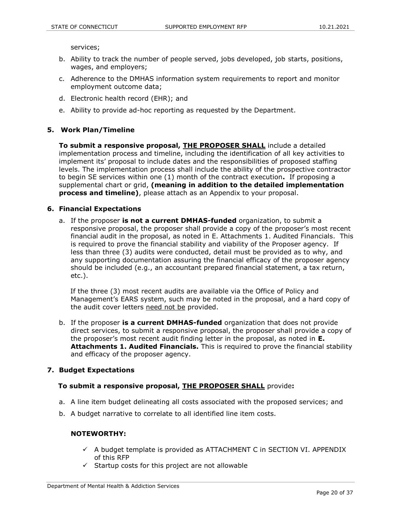services;

- b. Ability to track the number of people served, jobs developed, job starts, positions, wages, and employers;
- c. Adherence to the DMHAS information system requirements to report and monitor employment outcome data;
- d. Electronic health record (EHR); and
- e. Ability to provide ad-hoc reporting as requested by the Department.

#### **5. Work Plan/Timeline**

**To submit a responsive proposal, THE PROPOSER SHALL** include a detailed implementation process and timeline, including the identification of all key activities to implement its' proposal to include dates and the responsibilities of proposed staffing levels. The implementation process shall include the ability of the prospective contractor to begin SE services within one (1) month of the contract execution**.** If proposing a supplemental chart or grid, **(meaning in addition to the detailed implementation process and timeline)**, please attach as an Appendix to your proposal.

#### **6. Financial Expectations**

a. If the proposer **is not a current DMHAS-funded** organization, to submit a responsive proposal, the proposer shall provide a copy of the proposer's most recent financial audit in the proposal, as noted in E. Attachments 1. Audited Financials. This is required to prove the financial stability and viability of the Proposer agency. If less than three (3) audits were conducted, detail must be provided as to why, and any supporting documentation assuring the financial efficacy of the proposer agency should be included (e.g., an accountant prepared financial statement, a tax return, etc.).

 If the three (3) most recent audits are available via the Office of Policy and Management's EARS system, such may be noted in the proposal, and a hard copy of the audit cover letters need not be provided.

b. If the proposer **is a current DMHAS-funded** organization that does not provide direct services, to submit a responsive proposal, the proposer shall provide a copy of the proposer's most recent audit finding letter in the proposal, as noted in **E. Attachments 1. Audited Financials.** This is required to prove the financial stability and efficacy of the proposer agency.

#### **7. Budget Expectations**

#### **To submit a responsive proposal, THE PROPOSER SHALL** provide**:**

- a. A line item budget delineating all costs associated with the proposed services; and
- b. A budget narrative to correlate to all identified line item costs.

#### **NOTEWORTHY:**

- $\checkmark$  A budget template is provided as ATTACHMENT C in SECTION VI. APPENDIX of this RFP
- $\checkmark$  Startup costs for this project are not allowable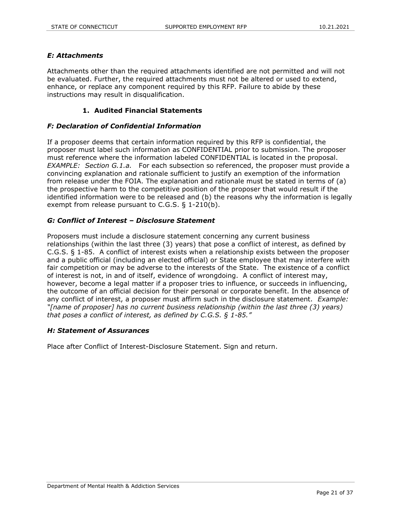#### *E: Attachments*

Attachments other than the required attachments identified are not permitted and will not be evaluated. Further, the required attachments must not be altered or used to extend, enhance, or replace any component required by this RFP. Failure to abide by these instructions may result in disqualification.

#### **1. Audited Financial Statements**

#### *F: Declaration of Confidential Information*

If a proposer deems that certain information required by this RFP is confidential, the proposer must label such information as CONFIDENTIAL prior to submission. The proposer must reference where the information labeled CONFIDENTIAL is located in the proposal. *EXAMPLE:* Section G.1.a. For each subsection so referenced, the proposer must provide a convincing explanation and rationale sufficient to justify an exemption of the information from release under the FOIA. The explanation and rationale must be stated in terms of (a) the prospective harm to the competitive position of the proposer that would result if the identified information were to be released and (b) the reasons why the information is legally exempt from release pursuant to C.G.S. § 1-210(b).

#### *G: Conflict of Interest – Disclosure Statement*

Proposers must include a disclosure statement concerning any current business relationships (within the last three (3) years) that pose a conflict of interest, as defined by C.G.S. § 1-85. A conflict of interest exists when a relationship exists between the proposer and a public official (including an elected official) or State employee that may interfere with fair competition or may be adverse to the interests of the State. The existence of a conflict of interest is not, in and of itself, evidence of wrongdoing. A conflict of interest may, however, become a legal matter if a proposer tries to influence, or succeeds in influencing, the outcome of an official decision for their personal or corporate benefit. In the absence of any conflict of interest, a proposer must affirm such in the disclosure statement. *Example: "[name of proposer] has no current business relationship (within the last three (3) years) that poses a conflict of interest, as defined by C.G.S. § 1-85."*

#### *H: Statement of Assurances*

Place after Conflict of Interest-Disclosure Statement. Sign and return.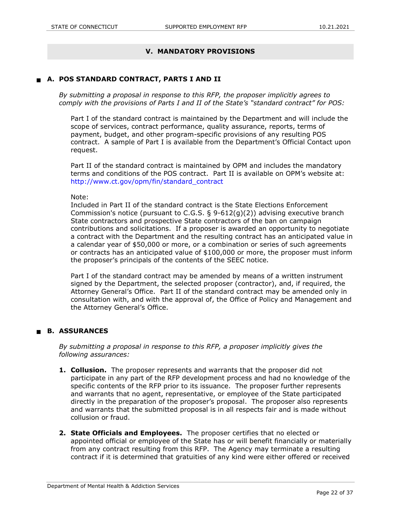## **V. MANDATORY PROVISIONS**

#### **A. POS STANDARD CONTRACT, PARTS I AND II**

*By submitting a proposal in response to this RFP, the proposer implicitly agrees to comply with the provisions of Parts I and II of the State's "standard contract" for POS:*

Part I of the standard contract is maintained by the Department and will include the scope of services, contract performance, quality assurance, reports, terms of payment, budget, and other program-specific provisions of any resulting POS contract. A sample of Part I is available from the Department's Official Contact upon request.

Part II of the standard contract is maintained by OPM and includes the mandatory terms and conditions of the POS contract. Part II is available on OPM's website at: http://www.ct.gov/opm/fin/standard\_contract

#### Note:

Included in Part II of the standard contract is the State Elections Enforcement Commission's notice (pursuant to C.G.S.  $\S$  9-612(g)(2)) advising executive branch State contractors and prospective State contractors of the ban on campaign contributions and solicitations. If a proposer is awarded an opportunity to negotiate a contract with the Department and the resulting contract has an anticipated value in a calendar year of \$50,000 or more, or a combination or series of such agreements or contracts has an anticipated value of \$100,000 or more, the proposer must inform the proposer's principals of the contents of the SEEC notice.

Part I of the standard contract may be amended by means of a written instrument signed by the Department, the selected proposer (contractor), and, if required, the Attorney General's Office. Part II of the standard contract may be amended only in consultation with, and with the approval of, the Office of Policy and Management and the Attorney General's Office.

#### **B. ASSURANCES**

*By submitting a proposal in response to this RFP, a proposer implicitly gives the following assurances:*

- **1. Collusion.**The proposer represents and warrants that the proposer did not participate in any part of the RFP development process and had no knowledge of the specific contents of the RFP prior to its issuance. The proposer further represents and warrants that no agent, representative, or employee of the State participated directly in the preparation of the proposer's proposal. The proposer also represents and warrants that the submitted proposal is in all respects fair and is made without collusion or fraud.
- **2. State Officials and Employees.** The proposer certifies that no elected or appointed official or employee of the State has or will benefit financially or materially from any contract resulting from this RFP. The Agency may terminate a resulting contract if it is determined that gratuities of any kind were either offered or received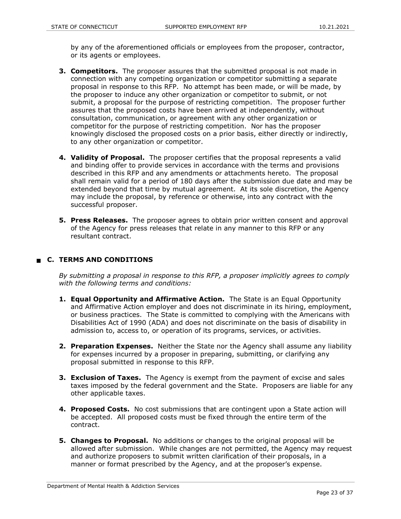by any of the aforementioned officials or employees from the proposer, contractor, or its agents or employees.

- **3. Competitors.** The proposer assures that the submitted proposal is not made in connection with any competing organization or competitor submitting a separate proposal in response to this RFP. No attempt has been made, or will be made, by the proposer to induce any other organization or competitor to submit, or not submit, a proposal for the purpose of restricting competition. The proposer further assures that the proposed costs have been arrived at independently, without consultation, communication, or agreement with any other organization or competitor for the purpose of restricting competition. Nor has the proposer knowingly disclosed the proposed costs on a prior basis, either directly or indirectly, to any other organization or competitor.
- **4. Validity of Proposal.**The proposer certifies that the proposal represents a valid and binding offer to provide services in accordance with the terms and provisions described in this RFP and any amendments or attachments hereto. The proposal shall remain valid for a period of 180 days after the submission due date and may be extended beyond that time by mutual agreement. At its sole discretion, the Agency may include the proposal, by reference or otherwise, into any contract with the successful proposer.
- **5. Press Releases.**The proposer agrees to obtain prior written consent and approval of the Agency for press releases that relate in any manner to this RFP or any resultant contract.

### **C. TERMS AND CONDITIONS**

*By submitting a proposal in response to this RFP, a proposer implicitly agrees to comply with the following terms and conditions:*

- **1. Equal Opportunity and Affirmative Action.** The State is an Equal Opportunity and Affirmative Action employer and does not discriminate in its hiring, employment, or business practices. The State is committed to complying with the Americans with Disabilities Act of 1990 (ADA) and does not discriminate on the basis of disability in admission to, access to, or operation of its programs, services, or activities.
- **2. Preparation Expenses.**Neither the State nor the Agency shall assume any liability for expenses incurred by a proposer in preparing, submitting, or clarifying any proposal submitted in response to this RFP.
- **3. Exclusion of Taxes.** The Agency is exempt from the payment of excise and sales taxes imposed by the federal government and the State. Proposers are liable for any other applicable taxes.
- **4. Proposed Costs.**No cost submissions that are contingent upon a State action will be accepted. All proposed costs must be fixed through the entire term of the contract.
- **5. Changes to Proposal.** No additions or changes to the original proposal will be allowed after submission. While changes are not permitted, the Agency may request and authorize proposers to submit written clarification of their proposals, in a manner or format prescribed by the Agency, and at the proposer's expense.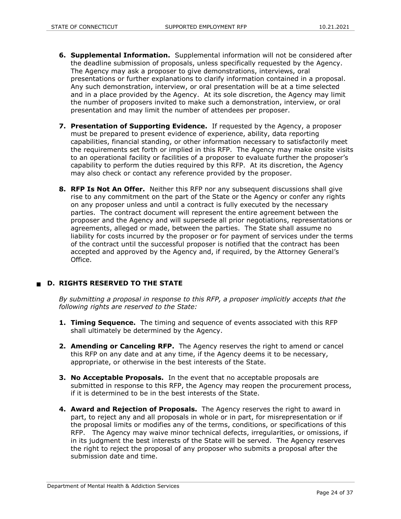- **6. Supplemental Information.** Supplemental information will not be considered after the deadline submission of proposals, unless specifically requested by the Agency. The Agency may ask a proposer to give demonstrations, interviews, oral presentations or further explanations to clarify information contained in a proposal. Any such demonstration, interview, or oral presentation will be at a time selected and in a place provided by the Agency. At its sole discretion, the Agency may limit the number of proposers invited to make such a demonstration, interview, or oral presentation and may limit the number of attendees per proposer.
- **7. Presentation of Supporting Evidence.** If requested by the Agency, a proposer must be prepared to present evidence of experience, ability, data reporting capabilities, financial standing, or other information necessary to satisfactorily meet the requirements set forth or implied in this RFP. The Agency may make onsite visits to an operational facility or facilities of a proposer to evaluate further the proposer's capability to perform the duties required by this RFP. At its discretion, the Agency may also check or contact any reference provided by the proposer.
- **8. RFP Is Not An Offer.** Neither this RFP nor any subsequent discussions shall give rise to any commitment on the part of the State or the Agency or confer any rights on any proposer unless and until a contract is fully executed by the necessary parties. The contract document will represent the entire agreement between the proposer and the Agency and will supersede all prior negotiations, representations or agreements, alleged or made, between the parties. The State shall assume no liability for costs incurred by the proposer or for payment of services under the terms of the contract until the successful proposer is notified that the contract has been accepted and approved by the Agency and, if required, by the Attorney General's Office.

## **D. RIGHTS RESERVED TO THE STATE**

*By submitting a proposal in response to this RFP, a proposer implicitly accepts that the following rights are reserved to the State:*

- **1. Timing Sequence.** The timing and sequence of events associated with this RFP shall ultimately be determined by the Agency.
- **2. Amending or Canceling RFP.**The Agency reserves the right to amend or cancel this RFP on any date and at any time, if the Agency deems it to be necessary, appropriate, or otherwise in the best interests of the State.
- **3. No Acceptable Proposals.** In the event that no acceptable proposals are submitted in response to this RFP, the Agency may reopen the procurement process, if it is determined to be in the best interests of the State.
- **4. Award and Rejection of Proposals.**The Agency reserves the right to award in part, to reject any and all proposals in whole or in part, for misrepresentation or if the proposal limits or modifies any of the terms, conditions, or specifications of this RFP. The Agency may waive minor technical defects, irregularities, or omissions, if in its judgment the best interests of the State will be served. The Agency reserves the right to reject the proposal of any proposer who submits a proposal after the submission date and time.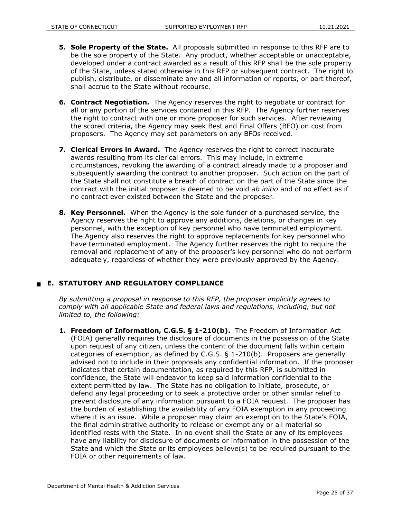- **5. Sole Property of the State.**All proposals submitted in response to this RFP are to be the sole property of the State. Any product, whether acceptable or unacceptable, developed under a contract awarded as a result of this RFP shall be the sole property of the State, unless stated otherwise in this RFP or subsequent contract. The right to publish, distribute, or disseminate any and all information or reports, or part thereof, shall accrue to the State without recourse.
- **6. Contract Negotiation.**The Agency reserves the right to negotiate or contract for all or any portion of the services contained in this RFP. The Agency further reserves the right to contract with one or more proposer for such services. After reviewing the scored criteria, the Agency may seek Best and Final Offers (BFO) on cost from proposers. The Agency may set parameters on any BFOs received.
- **7. Clerical Errors in Award.**The Agency reserves the right to correct inaccurate awards resulting from its clerical errors. This may include, in extreme circumstances, revoking the awarding of a contract already made to a proposer and subsequently awarding the contract to another proposer. Such action on the part of the State shall not constitute a breach of contract on the part of the State since the contract with the initial proposer is deemed to be void *ab initio* and of no effect as if no contract ever existed between the State and the proposer.
- **8. Key Personnel.**When the Agency is the sole funder of a purchased service, the Agency reserves the right to approve any additions, deletions, or changes in key personnel, with the exception of key personnel who have terminated employment. The Agency also reserves the right to approve replacements for key personnel who have terminated employment. The Agency further reserves the right to require the removal and replacement of any of the proposer's key personnel who do not perform adequately, regardless of whether they were previously approved by the Agency.

## **E. STATUTORY AND REGULATORY COMPLIANCE**

*By submitting a proposal in response to this RFP, the proposer implicitly agrees to comply with all applicable State and federal laws and regulations, including, but not limited to, the following:*

**1. Freedom of Information, C.G.S. § 1-210(b).**The Freedom of Information Act (FOIA) generally requires the disclosure of documents in the possession of the State upon request of any citizen, unless the content of the document falls within certain categories of exemption, as defined by C.G.S. § 1-210(b). Proposers are generally advised not to include in their proposals any confidential information. If the proposer indicates that certain documentation, as required by this RFP, is submitted in confidence, the State will endeavor to keep said information confidential to the extent permitted by law. The State has no obligation to initiate, prosecute, or defend any legal proceeding or to seek a protective order or other similar relief to prevent disclosure of any information pursuant to a FOIA request. The proposer has the burden of establishing the availability of any FOIA exemption in any proceeding where it is an issue. While a proposer may claim an exemption to the State's FOIA, the final administrative authority to release or exempt any or all material so identified rests with the State. In no event shall the State or any of its employees have any liability for disclosure of documents or information in the possession of the State and which the State or its employees believe(s) to be required pursuant to the FOIA or other requirements of law.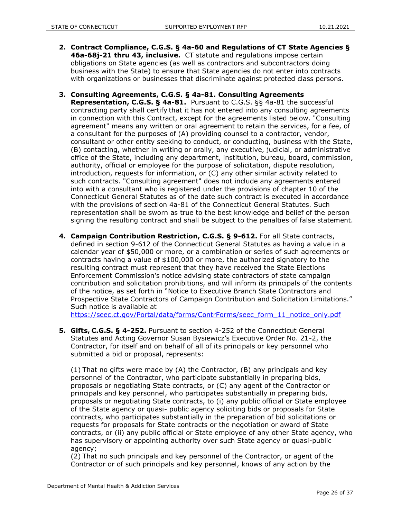- **2. Contract Compliance, C.G.S. § 4a-60 and Regulations of CT State Agencies § 46a-68j-21 thru 43, inclusive.** CT statute and regulations impose certain obligations on State agencies (as well as contractors and subcontractors doing business with the State) to ensure that State agencies do not enter into contracts with organizations or businesses that discriminate against protected class persons.
- **3. Consulting Agreements, C.G.S. § 4a-81. Consulting Agreements Representation, C.G.S. § 4a-81.** Pursuant to C.G.S. §§ 4a-81 the successful contracting party shall certify that it has not entered into any consulting agreements in connection with this Contract, except for the agreements listed below. "Consulting agreement" means any written or oral agreement to retain the services, for a fee, of a consultant for the purposes of (A) providing counsel to a contractor, vendor, consultant or other entity seeking to conduct, or conducting, business with the State, (B) contacting, whether in writing or orally, any executive, judicial, or administrative office of the State, including any department, institution, bureau, board, commission, authority, official or employee for the purpose of solicitation, dispute resolution, introduction, requests for information, or (C) any other similar activity related to such contracts. "Consulting agreement" does not include any agreements entered into with a consultant who is registered under the provisions of chapter 10 of the Connecticut General Statutes as of the date such contract is executed in accordance with the provisions of section 4a-81 of the Connecticut General Statutes. Such representation shall be sworn as true to the best knowledge and belief of the person signing the resulting contract and shall be subject to the penalties of false statement.
- **4. Campaign Contribution Restriction, C.G.S. § 9-612.** For all State contracts, defined in section 9-612 of the Connecticut General Statutes as having a value in a calendar year of \$50,000 or more, or a combination or series of such agreements or contracts having a value of \$100,000 or more, the authorized signatory to the resulting contract must represent that they have received the State Elections Enforcement Commission's notice advising state contractors of state campaign contribution and solicitation prohibitions, and will inform its principals of the contents of the notice, as set forth in "Notice to Executive Branch State Contractors and Prospective State Contractors of Campaign Contribution and Solicitation Limitations." Such notice is available at

[https://seec.ct.gov/Portal/data/forms/ContrForms/seec\\_form\\_11\\_notice\\_only.pdf](https://seec.ct.gov/Portal/data/forms/ContrForms/seec_form_11_notice_only.pdf)

**5. Gifts, C.G.S. § 4-252.** Pursuant to section 4-252 of the Connecticut General Statutes and Acting Governor Susan Bysiewicz's Executive Order No. 21-2, the Contractor, for itself and on behalf of all of its principals or key personnel who submitted a bid or proposal, represents:

(1) That no gifts were made by (A) the Contractor, (B) any principals and key personnel of the Contractor, who participate substantially in preparing bids, proposals or negotiating State contracts, or (C) any agent of the Contractor or principals and key personnel, who participates substantially in preparing bids, proposals or negotiating State contracts, to (i) any public official or State employee of the State agency or quasi- public agency soliciting bids or proposals for State contracts, who participates substantially in the preparation of bid solicitations or requests for proposals for State contracts or the negotiation or award of State contracts, or (ii) any public official or State employee of any other State agency, who has supervisory or appointing authority over such State agency or quasi-public agency;

(2) That no such principals and key personnel of the Contractor, or agent of the Contractor or of such principals and key personnel, knows of any action by the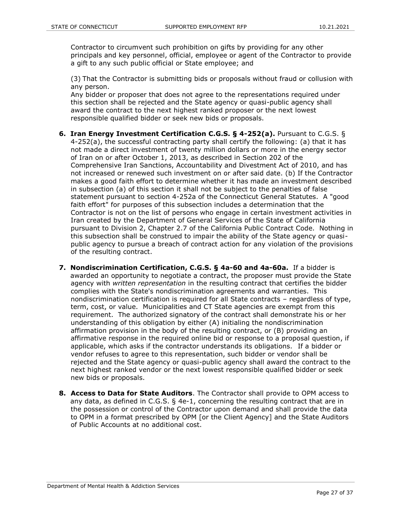Contractor to circumvent such prohibition on gifts by providing for any other principals and key personnel, official, employee or agent of the Contractor to provide a gift to any such public official or State employee; and

(3) That the Contractor is submitting bids or proposals without fraud or collusion with any person.

Any bidder or proposer that does not agree to the representations required under this section shall be rejected and the State agency or quasi-public agency shall award the contract to the next highest ranked proposer or the next lowest responsible qualified bidder or seek new bids or proposals.

- **6. Iran Energy Investment Certification C.G.S. § 4-252(a).** Pursuant to C.G.S. § 4-252(a), the successful contracting party shall certify the following: (a) that it has not made a direct investment of twenty million dollars or more in the energy sector of Iran on or after October 1, 2013, as described in Section 202 of the Comprehensive Iran Sanctions, Accountability and Divestment Act of 2010, and has not increased or renewed such investment on or after said date. (b) If the Contractor makes a good faith effort to determine whether it has made an investment described in subsection (a) of this section it shall not be subject to the penalties of false statement pursuant to section 4-252a of the Connecticut General Statutes. A "good faith effort" for purposes of this subsection includes a determination that the Contractor is not on the list of persons who engage in certain investment activities in Iran created by the Department of General Services of the State of California pursuant to Division 2, Chapter 2.7 of the California Public Contract Code. Nothing in this subsection shall be construed to impair the ability of the State agency or quasipublic agency to pursue a breach of contract action for any violation of the provisions of the resulting contract.
- **7. Nondiscrimination Certification, C.G.S. § 4a-60 and 4a-60a.** If a bidder is awarded an opportunity to negotiate a contract, the proposer must provide the State agency with *written representation* in the resulting contract that certifies the bidder complies with the State's nondiscrimination agreements and warranties. This nondiscrimination certification is required for all State contracts – regardless of type, term, cost, or value. Municipalities and CT State agencies are exempt from this requirement. The authorized signatory of the contract shall demonstrate his or her understanding of this obligation by either (A) initialing the nondiscrimination affirmation provision in the body of the resulting contract, or (B) providing an affirmative response in the required online bid or response to a proposal question, if applicable, which asks if the contractor understands its obligations. If a bidder or vendor refuses to agree to this representation, such bidder or vendor shall be rejected and the State agency or quasi-public agency shall award the contract to the next highest ranked vendor or the next lowest responsible qualified bidder or seek new bids or proposals.
- **8. Access to Data for State Auditors**. The Contractor shall provide to OPM access to any data, as defined in C.G.S. § 4e-1, concerning the resulting contract that are in the possession or control of the Contractor upon demand and shall provide the data to OPM in a format prescribed by OPM [or the Client Agency] and the State Auditors of Public Accounts at no additional cost.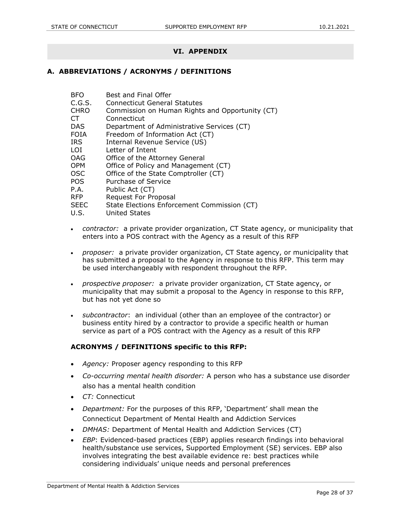## **VI. APPENDIX**

#### **A. ABBREVIATIONS / ACRONYMS / DEFINITIONS**

| BFO | Best and Final Offer |
|-----|----------------------|
|     |                      |

- C.G.S. Connecticut General Statutes
- CHRO Commission on Human Rights and Opportunity (CT)
- CT Connecticut
- DAS Department of Administrative Services (CT)
- FOIA Freedom of Information Act (CT)
- IRS Internal Revenue Service (US)
- LOI Letter of Intent
- OAG Office of the Attorney General
- OPM Office of Policy and Management (CT)
- OSC Office of the State Comptroller (CT)
- POS Purchase of Service
- P.A. Public Act (CT)
- RFP Request For Proposal
- SEEC State Elections Enforcement Commission (CT)
- U.S. United States
- *contractor:* a private provider organization, CT State agency, or municipality that enters into a POS contract with the Agency as a result of this RFP
- *proposer:* a private provider organization, CT State agency, or municipality that has submitted a proposal to the Agency in response to this RFP. This term may be used interchangeably with respondent throughout the RFP.
- *prospective proposer:* a private provider organization, CT State agency, or municipality that may submit a proposal to the Agency in response to this RFP, but has not yet done so
- *subcontractor*: an individual (other than an employee of the contractor) or business entity hired by a contractor to provide a specific health or human service as part of a POS contract with the Agency as a result of this RFP

#### **ACRONYMS / DEFINITIONS specific to this RFP:**

- *Agency:* Proposer agency responding to this RFP
- *Co-occurring mental health disorder:* A person who has a substance use disorder also has a mental health condition
- *CT:* Connecticut
- *Department:* For the purposes of this RFP, 'Department' shall mean the Connecticut Department of Mental Health and Addiction Services
- *DMHAS:* Department of Mental Health and Addiction Services (CT)
- *EBP*: Evidenced-based practices (EBP) applies research findings into behavioral health/substance use services, Supported Employment (SE) services. EBP also involves integrating the best available evidence re: best practices while considering individuals' unique needs and personal preferences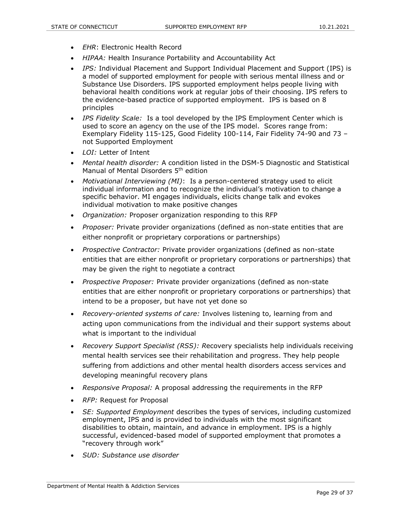- *EHR*: Electronic Health Record
- *HIPAA:* Health Insurance Portability and Accountability Act
- *IPS:* Individual Placement and Support Individual Placement and Support (IPS) is a model of supported employment for people with serious mental illness and or Substance Use Disorders. IPS supported employment helps people living with behavioral health conditions work at regular jobs of their choosing. IPS refers to the evidence-based practice of supported employment. IPS is based on 8 principles
- *IPS Fidelity Scale:* Is a tool developed by the IPS Employment Center which is used to score an agency on the use of the IPS model. Scores range from: Exemplary Fidelity 115-125, Good Fidelity 100-114, Fair Fidelity 74-90 and 73 – not Supported Employment
- *LOI:* Letter of Intent
- *Mental health disorder:* A condition listed in the DSM-5 Diagnostic and Statistical Manual of Mental Disorders 5th edition
- *Motivational Interviewing (MI)*: Is a person-centered strategy used to elicit individual information and to recognize the individual's motivation to change a specific behavior. MI engages individuals, elicits change talk and evokes individual motivation to make positive changes
- *Organization:* Proposer organization responding to this RFP
- *Proposer:* Private provider organizations (defined as non-state entities that are either nonprofit or proprietary corporations or partnerships)
- *Prospective Contractor:* Private provider organizations (defined as non-state entities that are either nonprofit or proprietary corporations or partnerships) that may be given the right to negotiate a contract
- *Prospective Proposer:* Private provider organizations (defined as non-state entities that are either nonprofit or proprietary corporations or partnerships) that intend to be a proposer, but have not yet done so
- *Recovery-oriented systems of care:* Involves listening to, learning from and acting upon communications from the individual and their support systems about what is important to the individual
- *Recovery Support Specialist (RSS): R*ecovery specialists help individuals receiving mental health services see their rehabilitation and progress. They help people suffering from addictions and other mental health disorders access services and developing meaningful recovery plans
- *Responsive Proposal:* A proposal addressing the requirements in the RFP
- *RFP:* Request for Proposal
- *SE: Supported Employment* describes the types of services, including customized employment, IPS and is provided to individuals with the most significant disabilities to obtain, maintain, and advance in employment. IPS is a highly successful, evidenced-based model of supported employment that promotes a "recovery through work"
- *SUD: Substance use disorder*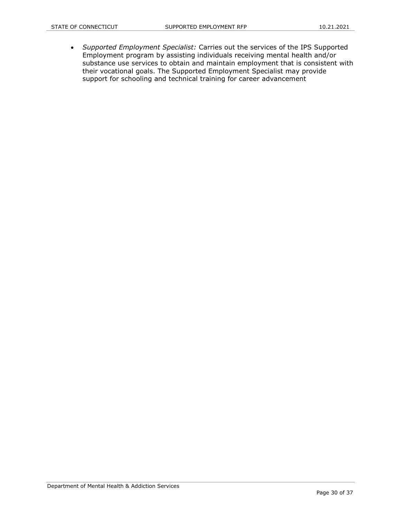*Supported Employment Specialist:* Carries out the services of the IPS Supported Employment program by assisting individuals receiving mental health and/or substance use services to obtain and maintain employment that is consistent with their vocational goals. The Supported Employment Specialist may provide support for schooling and technical training for career advancement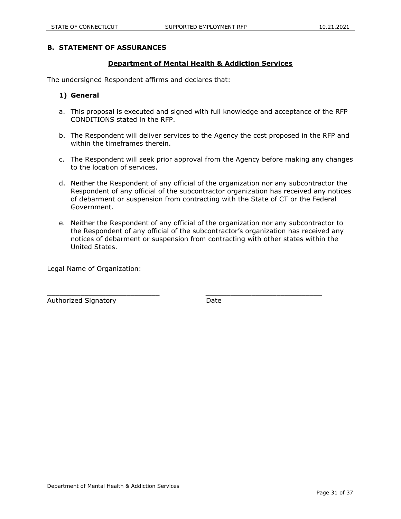#### **B. STATEMENT OF ASSURANCES**

#### **Department of Mental Health & Addiction Services**

The undersigned Respondent affirms and declares that:

#### **1) General**

- a. This proposal is executed and signed with full knowledge and acceptance of the RFP CONDITIONS stated in the RFP.
- b. The Respondent will deliver services to the Agency the cost proposed in the RFP and within the timeframes therein.
- c. The Respondent will seek prior approval from the Agency before making any changes to the location of services.
- d. Neither the Respondent of any official of the organization nor any subcontractor the Respondent of any official of the subcontractor organization has received any notices of debarment or suspension from contracting with the State of CT or the Federal Government.
- e. Neither the Respondent of any official of the organization nor any subcontractor to the Respondent of any official of the subcontractor's organization has received any notices of debarment or suspension from contracting with other states within the United States.

Legal Name of Organization:

Authorized Signatory **Date** 

 $\_$  ,  $\_$  ,  $\_$  ,  $\_$  ,  $\_$  ,  $\_$  ,  $\_$  ,  $\_$  ,  $\_$  ,  $\_$  ,  $\_$  ,  $\_$  ,  $\_$  ,  $\_$  ,  $\_$  ,  $\_$  ,  $\_$  ,  $\_$  ,  $\_$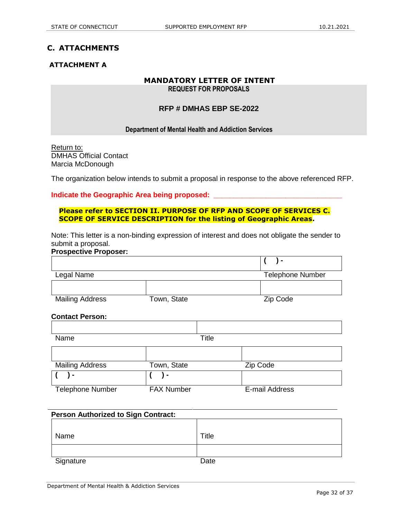## **C. ATTACHMENTS**

## **ATTACHMENT A**

# **MANDATORY LETTER OF INTENT**

**REQUEST FOR PROPOSALS** 

## **RFP # DMHAS EBP SE-2022**

#### **Department of Mental Health and Addiction Services**

Return to: DMHAS Official Contact Marcia McDonough

The organization below intends to submit a proposal in response to the above referenced RFP.

#### **Indicate the Geographic Area being proposed:**

#### **Please refer to SECTION II. PURPOSE OF RFP AND SCOPE OF SERVICES C. SCOPE OF SERVICE DESCRIPTION for the listing of Geographic Areas.**

Note: This letter is a non-binding expression of interest and does not obligate the sender to submit a proposal. **Prospective Proposer:**

|                         |                   | $\blacksquare$          |
|-------------------------|-------------------|-------------------------|
| Legal Name              |                   | <b>Telephone Number</b> |
|                         |                   |                         |
| <b>Mailing Address</b>  | Town, State       | Zip Code                |
| <b>Contact Person:</b>  |                   |                         |
|                         |                   |                         |
| Name                    |                   | <b>Title</b>            |
|                         |                   |                         |
| <b>Mailing Address</b>  | Town, State       | Zip Code                |
| $\blacksquare$          | $\blacksquare$    |                         |
| <b>Telephone Number</b> | <b>FAX Number</b> | E-mail Address          |

| <b>Person Authorized to Sign Contract:</b> |       |  |  |  |  |
|--------------------------------------------|-------|--|--|--|--|
|                                            |       |  |  |  |  |
| Name                                       | Title |  |  |  |  |
|                                            |       |  |  |  |  |
| Signature                                  | Date  |  |  |  |  |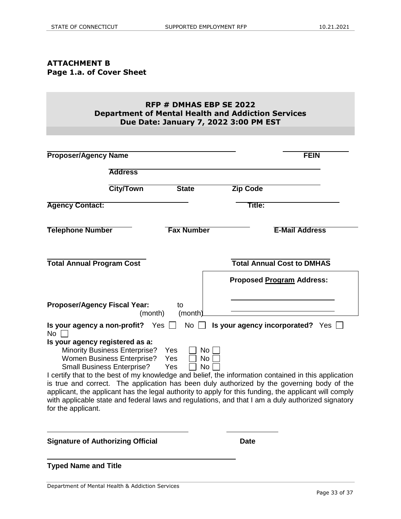## **ATTACHMENT B Page 1.a. of Cover Sheet**

## **RFP # DMHAS EBP SE 2022 Department of Mental Health and Addiction Services Due Date: January 7, 2022 3:00 PM EST**

| <b>Proposer/Agency Name</b>                                |                                                                                                                |                                                    | <b>FEIN</b>                                                                                                                                                                                                                                                                                                                                                                                                      |
|------------------------------------------------------------|----------------------------------------------------------------------------------------------------------------|----------------------------------------------------|------------------------------------------------------------------------------------------------------------------------------------------------------------------------------------------------------------------------------------------------------------------------------------------------------------------------------------------------------------------------------------------------------------------|
|                                                            | <b>Address</b>                                                                                                 |                                                    |                                                                                                                                                                                                                                                                                                                                                                                                                  |
|                                                            | <b>City/Town</b>                                                                                               | <b>State</b>                                       | <b>Zip Code</b>                                                                                                                                                                                                                                                                                                                                                                                                  |
| <b>Agency Contact:</b>                                     |                                                                                                                |                                                    | Title:                                                                                                                                                                                                                                                                                                                                                                                                           |
| <b>Telephone Number</b>                                    |                                                                                                                | <b>Fax Number</b>                                  | <b>E-Mail Address</b>                                                                                                                                                                                                                                                                                                                                                                                            |
| <b>Total Annual Program Cost</b>                           |                                                                                                                |                                                    | <b>Total Annual Cost to DMHAS</b>                                                                                                                                                                                                                                                                                                                                                                                |
|                                                            |                                                                                                                |                                                    | <b>Proposed Program Address:</b>                                                                                                                                                                                                                                                                                                                                                                                 |
| <b>Proposer/Agency Fiscal Year:</b>                        | (month)                                                                                                        | to<br>(month)                                      |                                                                                                                                                                                                                                                                                                                                                                                                                  |
| Is your agency a non-profit? Yes $\Box$<br>No <sub>1</sub> |                                                                                                                | No                                                 | Is your agency incorporated? Yes                                                                                                                                                                                                                                                                                                                                                                                 |
| Is your agency registered as a:<br>for the applicant.      | <b>Minority Business Enterprise?</b><br><b>Women Business Enterprise?</b><br><b>Small Business Enterprise?</b> | Yes<br><b>No</b><br>Yes<br>No.<br>Yes<br><b>No</b> | I certify that to the best of my knowledge and belief, the information contained in this application<br>is true and correct. The application has been duly authorized by the governing body of the<br>applicant, the applicant has the legal authority to apply for this funding, the applicant will comply<br>with applicable state and federal laws and regulations, and that I am a duly authorized signatory |
| <b>Signature of Authorizing Official</b>                   |                                                                                                                |                                                    | <b>Date</b>                                                                                                                                                                                                                                                                                                                                                                                                      |

**Typed Name and Title**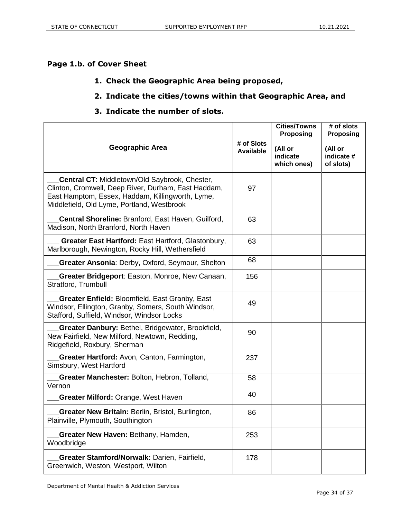# **Page 1.b. of Cover Sheet**

## **1. Check the Geographic Area being proposed,**

## **2. Indicate the cities/towns within that Geographic Area, and**

## **3. Indicate the number of slots.**

|                                                                                                                                                                                                        |                                | <b>Cities/Towns</b><br><b>Proposing</b> | # of slots<br><b>Proposing</b>     |
|--------------------------------------------------------------------------------------------------------------------------------------------------------------------------------------------------------|--------------------------------|-----------------------------------------|------------------------------------|
| Geographic Area                                                                                                                                                                                        | # of Slots<br><b>Available</b> | (All or<br>indicate<br>which ones)      | (All or<br>indicate #<br>of slots) |
| Central CT: Middletown/Old Saybrook, Chester,<br>Clinton, Cromwell, Deep River, Durham, East Haddam,<br>East Hamptom, Essex, Haddam, Killingworth, Lyme,<br>Middlefield, Old Lyme, Portland, Westbrook | 97                             |                                         |                                    |
| Central Shoreline: Branford, East Haven, Guilford,<br>Madison, North Branford, North Haven                                                                                                             | 63                             |                                         |                                    |
| Greater East Hartford: East Hartford, Glastonbury,<br>Marlborough, Newington, Rocky Hill, Wethersfield                                                                                                 | 63                             |                                         |                                    |
| Greater Ansonia: Derby, Oxford, Seymour, Shelton                                                                                                                                                       | 68                             |                                         |                                    |
| Greater Bridgeport: Easton, Monroe, New Canaan,<br>Stratford, Trumbull                                                                                                                                 | 156                            |                                         |                                    |
| Greater Enfield: Bloomfield, East Granby, East<br>Windsor, Ellington, Granby, Somers, South Windsor,<br>Stafford, Suffield, Windsor, Windsor Locks                                                     | 49                             |                                         |                                    |
| Greater Danbury: Bethel, Bridgewater, Brookfield,<br>New Fairfield, New Milford, Newtown, Redding,<br>Ridgefield, Roxbury, Sherman                                                                     | 90                             |                                         |                                    |
| Greater Hartford: Avon, Canton, Farmington,<br>Simsbury, West Hartford                                                                                                                                 | 237                            |                                         |                                    |
| Greater Manchester: Bolton, Hebron, Tolland,<br>Vernon                                                                                                                                                 | 58                             |                                         |                                    |
| Greater Milford: Orange, West Haven                                                                                                                                                                    | 40                             |                                         |                                    |
| <b>Greater New Britain: Berlin, Bristol, Burlington,</b><br>Plainville, Plymouth, Southington                                                                                                          | 86                             |                                         |                                    |
| Greater New Haven: Bethany, Hamden,<br>Woodbridge                                                                                                                                                      | 253                            |                                         |                                    |
| Greater Stamford/Norwalk: Darien, Fairfield,<br>Greenwich, Weston, Westport, Wilton                                                                                                                    | 178                            |                                         |                                    |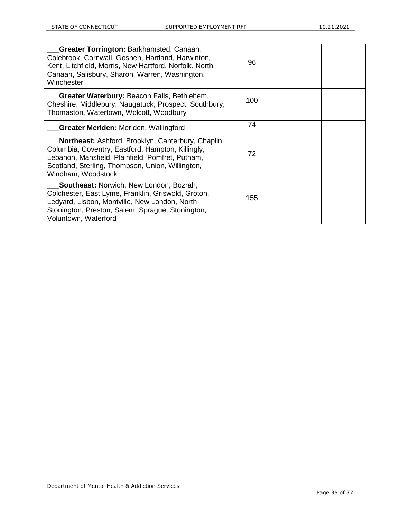| Greater Torrington: Barkhamsted, Canaan,<br>Colebrook, Cornwall, Goshen, Hartland, Harwinton,<br>Kent, Litchfield, Morris, New Hartford, Norfolk, North                                                                               | 96  |  |
|---------------------------------------------------------------------------------------------------------------------------------------------------------------------------------------------------------------------------------------|-----|--|
| Canaan, Salisbury, Sharon, Warren, Washington,<br>Winchester                                                                                                                                                                          |     |  |
| Greater Waterbury: Beacon Falls, Bethlehem,<br>Cheshire, Middlebury, Naugatuck, Prospect, Southbury,<br>Thomaston, Watertown, Wolcott, Woodbury                                                                                       | 100 |  |
| <b>Greater Meriden:</b> Meriden, Wallingford                                                                                                                                                                                          | 74  |  |
| Northeast: Ashford, Brooklyn, Canterbury, Chaplin,<br>Columbia, Coventry, Eastford, Hampton, Killingly,<br>Lebanon, Mansfield, Plainfield, Pomfret, Putnam,<br>Scotland, Sterling, Thompson, Union, Willington,<br>Windham, Woodstock | 72  |  |
| <b>Southeast: Norwich, New London, Bozrah,</b><br>Colchester, East Lyme, Franklin, Griswold, Groton,<br>Ledyard, Lisbon, Montville, New London, North<br>Stonington, Preston, Salem, Sprague, Stonington,<br>Voluntown, Waterford     | 155 |  |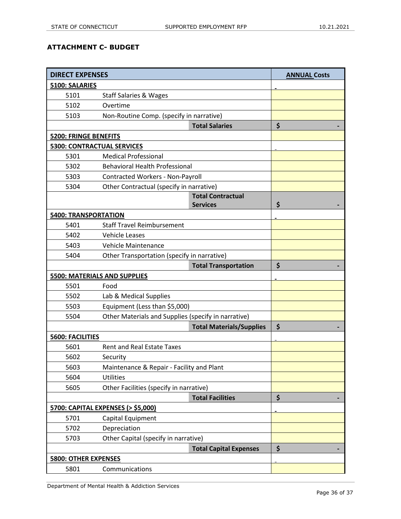## **ATTACHMENT C- BUDGET**

| <b>DIRECT EXPENSES</b>            |                                                     | <b>ANNUAL Costs</b> |  |
|-----------------------------------|-----------------------------------------------------|---------------------|--|
| 5100: SALARIES                    |                                                     |                     |  |
| 5101                              | <b>Staff Salaries &amp; Wages</b>                   |                     |  |
| 5102                              | Overtime                                            |                     |  |
| 5103                              | Non-Routine Comp. (specify in narrative)            |                     |  |
|                                   | <b>Total Salaries</b>                               | \$                  |  |
| <b>5200: FRINGE BENEFITS</b>      |                                                     |                     |  |
| <b>5300: CONTRACTUAL SERVICES</b> |                                                     |                     |  |
| 5301                              | <b>Medical Professional</b>                         |                     |  |
| 5302                              | <b>Behavioral Health Professional</b>               |                     |  |
| 5303                              | <b>Contracted Workers - Non-Payroll</b>             |                     |  |
| 5304                              | Other Contractual (specify in narrative)            |                     |  |
|                                   | <b>Total Contractual</b>                            |                     |  |
|                                   | <b>Services</b>                                     | \$                  |  |
| <b>5400: TRANSPORTATION</b>       |                                                     |                     |  |
| 5401                              | <b>Staff Travel Reimbursement</b>                   |                     |  |
| 5402                              | <b>Vehicle Leases</b>                               |                     |  |
| 5403                              | <b>Vehicle Maintenance</b>                          |                     |  |
| 5404                              | Other Transportation (specify in narrative)         |                     |  |
|                                   | <b>Total Transportation</b>                         | \$                  |  |
|                                   | <b>5500: MATERIALS AND SUPPLIES</b>                 |                     |  |
| 5501                              | Food                                                |                     |  |
| 5502                              | Lab & Medical Supplies                              |                     |  |
| 5503                              | Equipment (Less than \$5,000)                       |                     |  |
| 5504                              | Other Materials and Supplies (specify in narrative) |                     |  |
|                                   | <b>Total Materials/Supplies</b>                     | \$                  |  |
| <b>5600: FACILITIES</b>           |                                                     |                     |  |
| 5601                              | <b>Rent and Real Estate Taxes</b>                   |                     |  |
| 5602                              | Security                                            |                     |  |
| 5603                              | Maintenance & Repair - Facility and Plant           |                     |  |
| 5604                              | <b>Utilities</b>                                    |                     |  |
| 5605                              | Other Facilities (specify in narrative)             |                     |  |
|                                   | <b>Total Facilities</b>                             | \$                  |  |
|                                   | 5700: CAPITAL EXPENSES (> \$5,000)                  |                     |  |
| 5701                              | Capital Equipment                                   |                     |  |
| 5702                              | Depreciation                                        |                     |  |
| 5703                              | Other Capital (specify in narrative)                |                     |  |
|                                   | <b>Total Capital Expenses</b>                       | \$                  |  |
| <b>5800: OTHER EXPENSES</b>       |                                                     |                     |  |
| 5801                              | Communications                                      |                     |  |